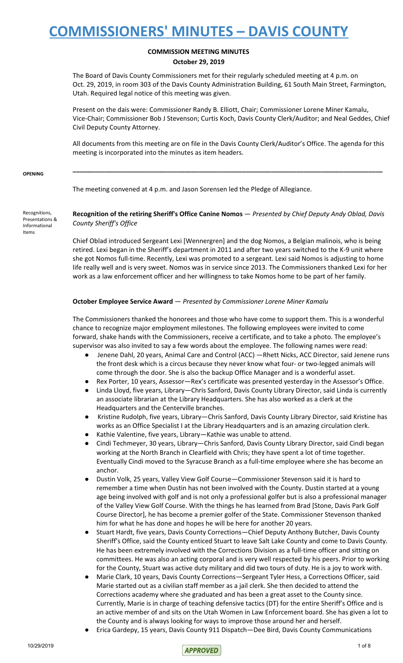## **COMMISSION MEETING MINUTES October 29, 2019**

The Board of Davis County Commissioners met for their regularly scheduled meeting at 4 p.m. on Oct. 29, 2019, in room 303 of the Davis County Administration Building, 61 South Main Street, Farmington, Utah. Required legal notice of this meeting was given.

Present on the dais were: Commissioner Randy B. Elliott, Chair; Commissioner Lorene Miner Kamalu, Vice-Chair; Commissioner Bob J Stevenson; Curtis Koch, Davis County Clerk/Auditor; and Neal Geddes, Chief Civil Deputy County Attorney.

All documents from this meeting are on file in the Davis County Clerk/Auditor's Office. The agenda for this meeting is incorporated into the minutes as item headers.

**\_\_\_\_\_\_\_\_\_\_\_\_\_\_\_\_\_\_\_\_\_\_\_\_\_\_\_\_\_\_\_\_\_\_\_\_\_\_\_\_\_\_\_\_\_\_\_\_\_\_\_\_\_\_\_\_\_\_\_\_\_\_\_\_\_\_\_\_\_\_\_\_\_\_\_\_\_\_\_\_\_\_\_\_\_\_**

### **OPENING**

The meeting convened at 4 p.m. and Jason Sorensen led the Pledge of Allegiance.

Recognitions, Presentations & Informational Items

**Recognition of the retiring Sheriff's Office Canine Nomos** — *Presented by Chief Deputy Andy Oblad, Davis County Sheriff's Office*

Chief Oblad introduced Sergeant Lexi [Wennergren] and the dog Nomos, a Belgian malinois, who is being retired. Lexi began in the Sheriff's department in 2011 and after two years switched to the K-9 unit where she got Nomos full-time. Recently, Lexi was promoted to a sergeant. Lexi said Nomos is adjusting to home life really well and is very sweet. Nomos was in service since 2013. The Commissioners thanked Lexi for her work as a law enforcement officer and her willingness to take Nomos home to be part of her family.

## **October Employee Service Award** — *Presented by Commissioner Lorene Miner Kamalu*

The Commissioners thanked the honorees and those who have come to support them. This is a wonderful chance to recognize major employment milestones. The following employees were invited to come forward, shake hands with the Commissioners, receive a certificate, and to take a photo. The employee's supervisor was also invited to say a few words about the employee. The following names were read:

- Jenene Dahl, 20 years, Animal Care and Control (ACC) —Rhett Nicks, ACC Director, said Jenene runs the front desk which is a circus because they never know what four- or two-legged animals will come through the door. She is also the backup Office Manager and is a wonderful asset.
- Rex Porter, 10 years, Assessor-Rex's certificate was presented yesterday in the Assessor's Office.
- Linda Lloyd, five years, Library—Chris Sanford, Davis County Library Director, said Linda is currently an associate librarian at the Library Headquarters. She has also worked as a clerk at the Headquarters and the Centerville branches.
- Kristine Rudolph, five years, Library—Chris Sanford, Davis County Library Director, said Kristine has works as an Office Specialist I at the Library Headquarters and is an amazing circulation clerk.
- Kathie Valentine, five years, Library—Kathie was unable to attend.
- Cindi Techmeyer, 30 years, Library—Chris Sanford, Davis County Library Director, said Cindi began working at the North Branch in Clearfield with Chris; they have spent a lot of time together. Eventually Cindi moved to the Syracuse Branch as a full-time employee where she has become an anchor.
- Dustin Volk, 25 years, Valley View Golf Course—Commissioner Stevenson said it is hard to remember a time when Dustin has not been involved with the County. Dustin started at a young age being involved with golf and is not only a professional golfer but is also a professional manager of the Valley View Golf Course. With the things he has learned from Brad [Stone, Davis Park Golf Course Director], he has become a premier golfer of the State. Commissioner Stevenson thanked him for what he has done and hopes he will be here for another 20 years.
- Stuart Hardt, five years, Davis County Corrections—Chief Deputy Anthony Butcher, Davis County Sheriff's Office, said the County enticed Stuart to leave Salt Lake County and come to Davis County. He has been extremely involved with the Corrections Division as a full-time officer and sitting on committees. He was also an acting corporal and is very well respected by his peers. Prior to working for the County, Stuart was active duty military and did two tours of duty. He is a joy to work with.
- Marie Clark, 10 years, Davis County Corrections—Sergeant Tyler Hess, a Corrections Officer, said Marie started out as a civilian staff member as a jail clerk. She then decided to attend the Corrections academy where she graduated and has been a great asset to the County since. Currently, Marie is in charge of teaching defensive tactics (DT) for the entire Sheriff's Office and is an active member of and sits on the Utah Women in Law Enforcement board. She has given a lot to the County and is always looking for ways to improve those around her and herself.
- Erica Gardepy, 15 years, Davis County 911 Dispatch—Dee Bird, Davis County Communications

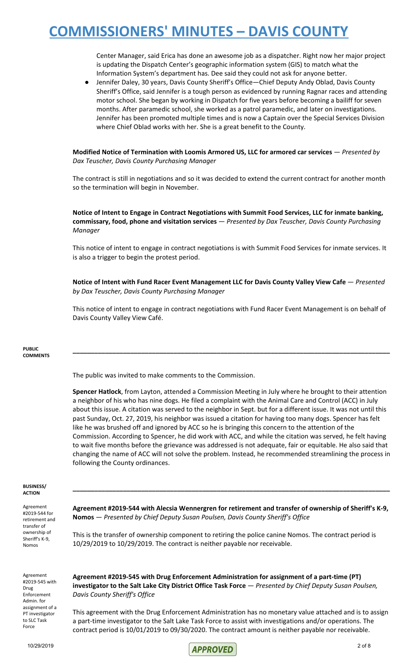Center Manager, said Erica has done an awesome job as a dispatcher. Right now her major project is updating the Dispatch Center's geographic information system (GIS) to match what the Information System's department has. Dee said they could not ask for anyone better.

Jennifer Daley, 30 years, Davis County Sheriff's Office—Chief Deputy Andy Oblad, Davis County Sheriff's Office, said Jennifer is a tough person as evidenced by running Ragnar races and attending motor school. She began by working in Dispatch for five years before becoming a bailiff for seven months. After paramedic school, she worked as a patrol paramedic, and later on investigations. Jennifer has been promoted multiple times and is now a Captain over the Special Services Division where Chief Oblad works with her. She is a great benefit to the County.

**Modified Notice of Termination with Loomis Armored US, LLC for armored car services** — *Presented by Dax Teuscher, Davis County Purchasing Manager*

The contract is still in negotiations and so it was decided to extend the current contract for another month so the termination will begin in November.

**Notice of Intent to Engage in Contract Negotiations with Summit Food Services, LLC for inmate banking, commissary, food, phone and visitation services** — *Presented by Dax Teuscher, Davis County Purchasing Manager*

This notice of intent to engage in contract negotiations is with Summit Food Services for inmate services. It is also a trigger to begin the protest period.

**Notice of Intent with Fund Racer Event Management LLC for Davis County Valley View Cafe** — *Presented by Dax Teuscher, Davis County Purchasing Manager*

This notice of intent to engage in contract negotiations with Fund Racer Event Management is on behalf of Davis County Valley View Café.

**\_\_\_\_\_\_\_\_\_\_\_\_\_\_\_\_\_\_\_\_\_\_\_\_\_\_\_\_\_\_\_\_\_\_\_\_\_\_\_\_\_\_\_\_\_\_\_\_\_\_\_\_\_\_\_\_\_\_\_\_\_\_\_\_\_\_\_\_\_\_\_\_\_\_\_\_\_\_\_\_\_\_\_\_\_\_\_\_**

#### **PUBLIC COMMENTS**

The public was invited to make comments to the Commission.

**Spencer Hatlock**, from Layton, attended a Commission Meeting in July where he brought to their attention a neighbor of his who has nine dogs. He filed a complaint with the Animal Care and Control (ACC) in July about this issue. A citation was served to the neighbor in Sept. but for a different issue. It was not until this past Sunday, Oct. 27, 2019, his neighbor was issued a citation for having too many dogs. Spencer has felt like he was brushed off and ignored by ACC so he is bringing this concern to the attention of the Commission. According to Spencer, he did work with ACC, and while the citation was served, he felt having to wait five months before the grievance was addressed is not adequate, fair or equitable. He also said that changing the name of ACC will not solve the problem. Instead, he recommended streamlining the process in following the County ordinances.

#### **BUSINESS/ ACTION**

Agreement #2019-544 for retirement and transfer of ownership of Sheriff's K-9, Nomos

**Agreement #2019-544 with Alecsia Wennergren for retirement and transfer of ownership of Sheriff's K-9, Nomos** — *Presented by Chief Deputy Susan Poulsen, Davis County Sheriff's Office*

**\_\_\_\_\_\_\_\_\_\_\_\_\_\_\_\_\_\_\_\_\_\_\_\_\_\_\_\_\_\_\_\_\_\_\_\_\_\_\_\_\_\_\_\_\_\_\_\_\_\_\_\_\_\_\_\_\_\_\_\_\_\_\_\_\_\_\_\_\_\_\_\_\_\_\_\_\_\_\_\_\_\_\_\_\_\_\_\_**

This is the transfer of ownership component to retiring the police canine Nomos. The contract period is 10/29/2019 to 10/29/2019. The contract is neither payable nor receivable.

Agreement #2019-545 with Drug Enforcement Admin. for assignment of a PT investigator to SLC Task Force

**Agreement #2019-545 with Drug Enforcement Administration for assignment of a part-time (PT) investigator to the Salt Lake City District Office Task Force** — *Presented by Chief Deputy Susan Poulsen, Davis County Sheriff's Office*

This agreement with the Drug Enforcement Administration has no monetary value attached and is to assign a part-time investigator to the Salt Lake Task Force to assist with investigations and/or operations. The contract period is 10/01/2019 to 09/30/2020. The contract amount is neither payable nor receivable.

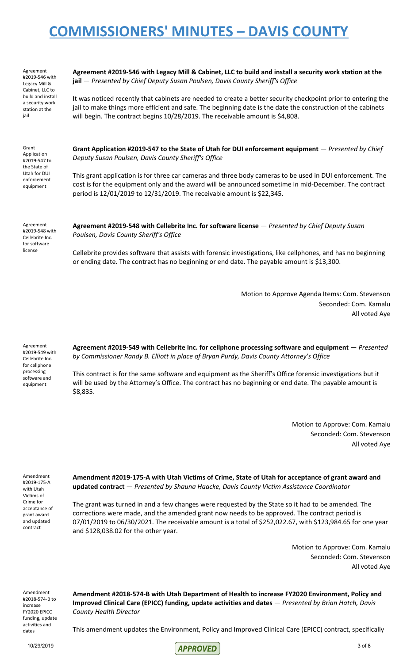Agreement #2019-546 with Legacy Mill & Cabinet, LLC to build and install a security work station at the iail

Agreement #2019-546 with Legacy Mill & Cabinet, LLC to build and install a security work station at the **jail** — *Presented by Chief Deputy Susan Poulsen, Davis County Sheriff's Office*

It was noticed recently that cabinets are needed to create a better security checkpoint prior to entering the jail to make things more efficient and safe. The beginning date is the date the construction of the cabinets will begin. The contract begins 10/28/2019. The receivable amount is \$4,808.

Grant Application #2019-547 to the State of Utah for DUI enforcement equipment

**Grant Application #2019-547 to the State of Utah for DUI enforcement equipment** — *Presented by Chief Deputy Susan Poulsen, Davis County Sheriff's Office*

This grant application is for three car cameras and three body cameras to be used in DUI enforcement. The cost is for the equipment only and the award will be announced sometime in mid-December. The contract period is 12/01/2019 to 12/31/2019. The receivable amount is \$22,345.

Agreement #2019-548 with Cellebrite Inc. for software license

**Agreement #2019-548 with Cellebrite Inc. for software license** — *Presented by Chief Deputy Susan Poulsen, Davis County Sheriff's Office*

Cellebrite provides software that assists with forensic investigations, like cellphones, and has no beginning or ending date. The contract has no beginning or end date. The payable amount is \$13,300.

> Motion to Approve Agenda Items: Com. Stevenson Seconded: Com. Kamalu All voted Aye

Agreement #2019-549 with Cellebrite Inc. for cellphone processing software and equipment

**Agreement #2019-549 with Cellebrite Inc. for cellphone processing software and equipment** — *Presented by Commissioner Randy B. Elliott in place of Bryan Purdy, Davis County Attorney's Office*

This contract is for the same software and equipment as the Sheriff's Office forensic investigations but it will be used by the Attorney's Office. The contract has no beginning or end date. The payable amount is \$8,835.

> Motion to Approve: Com. Kamalu Seconded: Com. Stevenson All voted Aye

Amendment #2019-175-A with Utah Victims of Crime for acceptance of grant award and updated contract

**Amendment #2019-175-A with Utah Victims of Crime, State of Utah for acceptance of grant award and updated contract** — *Presented by Shauna Haacke, Davis County Victim Assistance Coordinator*

The grant was turned in and a few changes were requested by the State so it had to be amended. The corrections were made, and the amended grant now needs to be approved. The contract period is 07/01/2019 to 06/30/2021. The receivable amount is a total of \$252,022.67, with \$123,984.65 for one year and \$128,038.02 for the other year.

> Motion to Approve: Com. Kamalu Seconded: Com. Stevenson All voted Aye

Amendment #2018-574-B to increase FY2020 EPICC funding, update activities and dates

**Amendment #2018-574-B with Utah Department of Health to increase FY2020 Environment, Policy and Improved Clinical Care (EPICC) funding, update activities and dates** — *Presented by Brian Hatch, Davis County Health Director*

This amendment updates the Environment, Policy and Improved Clinical Care (EPICC) contract, specifically

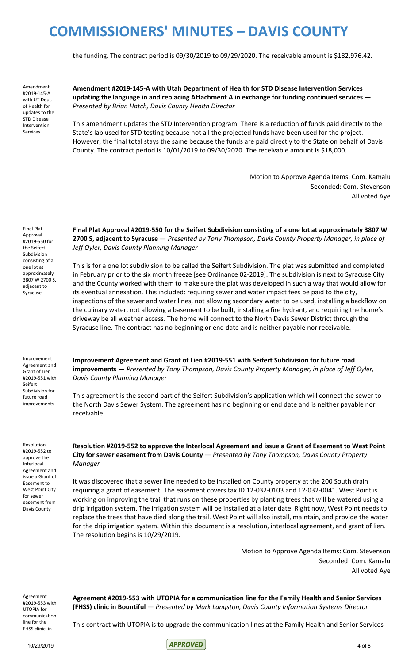the funding. The contract period is 09/30/2019 to 09/29/2020. The receivable amount is \$182,976.42.

Amendment #2019-145-A with UT Dept. of Health for updates to the STD Disease Intervention Services

**Amendment #2019-145-A with Utah Department of Health for STD Disease Intervention Services updating the language in and replacing Attachment A in exchange for funding continued services** — *Presented by Brian Hatch, Davis County Health Director*

This amendment updates the STD Intervention program. There is a reduction of funds paid directly to the State's lab used for STD testing because not all the projected funds have been used for the project. However, the final total stays the same because the funds are paid directly to the State on behalf of Davis County. The contract period is 10/01/2019 to 09/30/2020. The receivable amount is \$18,000.

> Motion to Approve Agenda Items: Com. Kamalu Seconded: Com. Stevenson All voted Aye

Final Plat Approval #2019-550 for the Seifert Subdivision consisting of a one lot at approximately 3807 W 2700 S, adjacent to Syracuse

**Final Plat Approval #2019-550 for the Seifert Subdivision consisting of a one lot at approximately 3807 W 2700 S, adjacent to Syracuse** — *Presented by Tony Thompson, Davis County Property Manager, in place of Jeff Oyler, Davis County Planning Manager*

This is for a one lot subdivision to be called the Seifert Subdivision. The plat was submitted and completed in February prior to the six month freeze [see Ordinance 02-2019]. The subdivision is next to Syracuse City and the County worked with them to make sure the plat was developed in such a way that would allow for its eventual annexation. This included: requiring sewer and water impact fees be paid to the city, inspections of the sewer and water lines, not allowing secondary water to be used, installing a backflow on the culinary water, not allowing a basement to be built, installing a fire hydrant, and requiring the home's driveway be all weather access. The home will connect to the North Davis Sewer District through the Syracuse line. The contract has no beginning or end date and is neither payable nor receivable.

**Improvement Agreement and Grant of Lien #2019-551 with Seifert Subdivision for future road improvements** — *Presented by Tony Thompson, Davis County Property Manager, in place of Jeff Oyler,*

Improvement Agreement and Grant of Lien #2019-551 with Seifert Subdivision for future road improvements

*Davis County Planning Manager*

receivable.

*Manager*

Resolution #2019-552 to approve the Interlocal Agreement and issue a Grant of Easement to West Point City for sewer easement from

Davis County

**Resolution #2019-552 to approve the Interlocal Agreement and issue a Grant of Easement to West Point City for sewer easement from Davis County** — *Presented by Tony Thompson, Davis County Property*

This agreement is the second part of the Seifert Subdivision's application which will connect the sewer to the North Davis Sewer System. The agreement has no beginning or end date and is neither payable nor

It was discovered that a sewer line needed to be installed on County property at the 200 South drain requiring a grant of easement. The easement covers tax ID 12-032-0103 and 12-032-0041. West Point is working on improving the trail that runs on these properties by planting trees that will be watered using a drip irrigation system. The irrigation system will be installed at a later date. Right now, West Point needs to replace the trees that have died along the trail. West Point will also install, maintain, and provide the water for the drip irrigation system. Within this document is a resolution, interlocal agreement, and grant of lien. The resolution begins is 10/29/2019.

> Motion to Approve Agenda Items: Com. Stevenson Seconded: Com. Kamalu All voted Aye

Agreement #2019-553 with UTOPIA for communication line for the FHSS clinic in

**Agreement #2019-553 with UTOPIA for a communication line for the Family Health and Senior Services (FHSS) clinic in Bountiful** — *Presented by Mark Langston, Davis County Information Systems Director*

This contract with UTOPIA is to upgrade the communication lines at the Family Health and Senior Services

 $\mathsf{APPROVED}$  and  $\mathsf{APPROVED}$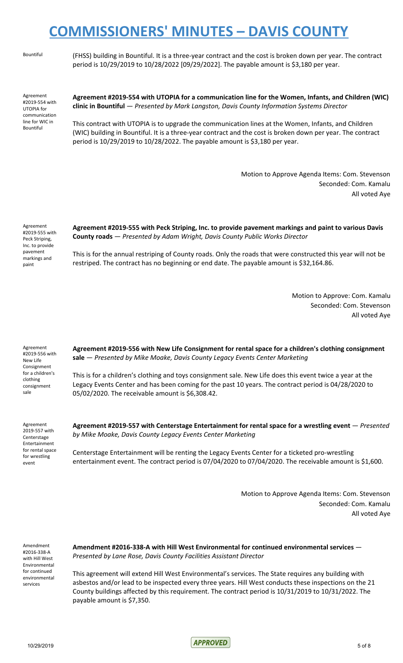Bountiful (FHSS) building in Bountiful. It is a three-year contract and the cost is broken down per year. The contract period is 10/29/2019 to 10/28/2022 [09/29/2022]. The payable amount is \$3,180 per year.

Agreement #2019-554 with UTOPIA for communication line for WIC in Bountiful

**Agreement #2019-554 with UTOPIA for a communication line for the Women, Infants, and Children (WIC) clinic in Bountiful** — *Presented by Mark Langston, Davis County Information Systems Director*

This contract with UTOPIA is to upgrade the communication lines at the Women, Infants, and Children (WIC) building in Bountiful. It is a three-year contract and the cost is broken down per year. The contract period is 10/29/2019 to 10/28/2022. The payable amount is \$3,180 per year.

> Motion to Approve Agenda Items: Com. Stevenson Seconded: Com. Kamalu All voted Aye

Agreement #2019-555 with Peck Striping, Inc. to provide pavement markings and paint

**Agreement #2019-555 with Peck Striping, Inc. to provide pavement markings and paint to various Davis County roads** — *Presented by Adam Wright, Davis County Public Works Director*

This is for the annual restriping of County roads. Only the roads that were constructed this year will not be restriped. The contract has no beginning or end date. The payable amount is \$32,164.86.

> Motion to Approve: Com. Kamalu Seconded: Com. Stevenson All voted Aye

Agreement #2019-556 with New Life Consignment for a children's clothing consignment sale

**Agreement #2019-556 with New Life Consignment for rental space for a children's clothing consignment sale** — *Presented by Mike Moake, Davis County Legacy Events Center Marketing*

This is for a children's clothing and toys consignment sale. New Life does this event twice a year at the Legacy Events Center and has been coming for the past 10 years. The contract period is 04/28/2020 to 05/02/2020. The receivable amount is \$6,308.42.

Agreement 2019-557 with Centerstage Entertainment for rental space for wrestling event

**Agreement #2019-557 with Centerstage Entertainment for rental space for a wrestling event** — *Presented by Mike Moake, Davis County Legacy Events Center Marketing*

Centerstage Entertainment will be renting the Legacy Events Center for a ticketed pro-wrestling entertainment event. The contract period is 07/04/2020 to 07/04/2020. The receivable amount is \$1,600.

> Motion to Approve Agenda Items: Com. Stevenson Seconded: Com. Kamalu All voted Aye

Amendment #2016-338-A with Hill West Environmental for continued environmental services

**Amendment #2016-338-A with Hill West Environmental for continued environmental services** — *Presented by Lane Rose, Davis County Facilities Assistant Director*

This agreement will extend Hill West Environmental's services. The State requires any building with asbestos and/or lead to be inspected every three years. Hill West conducts these inspections on the 21 County buildings affected by this requirement. The contract period is 10/31/2019 to 10/31/2022. The payable amount is \$7,350.

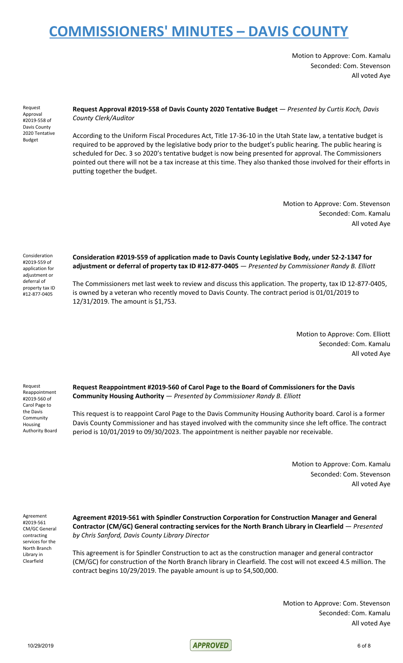Motion to Approve: Com. Kamalu Seconded: Com. Stevenson All voted Aye

Request Approval #2019-558 of Davis County 2020 Tentative Budget

## **Request Approval #2019-558 of Davis County 2020 Tentative Budget** — *Presented by Curtis Koch, Davis County Clerk/Auditor*

According to the Uniform Fiscal Procedures Act, Title 17-36-10 in the Utah State law, a tentative budget is required to be approved by the legislative body prior to the budget's public hearing. The public hearing is scheduled for Dec. 3 so 2020's tentative budget is now being presented for approval. The Commissioners pointed out there will not be a tax increase at this time. They also thanked those involved for their efforts in putting together the budget.

> Motion to Approve: Com. Stevenson Seconded: Com. Kamalu All voted Aye

Consideration #2019-559 of application for adjustment or deferral of property tax ID #12-877-0405

**Consideration #2019-559 of application made to Davis County Legislative Body, under 52-2-1347 for adjustment or deferral of property tax ID #12-877-0405** — *Presented by Commissioner Randy B. Elliott*

The Commissioners met last week to review and discuss this application. The property, tax ID 12-877-0405, is owned by a veteran who recently moved to Davis County. The contract period is 01/01/2019 to 12/31/2019. The amount is \$1,753.

> Motion to Approve: Com. Elliott Seconded: Com. Kamalu All voted Aye

Request Reappointment #2019-560 of Carol Page to the Davis Community Housing Authority Board **Request Reappointment #2019-560 of Carol Page to the Board of Commissioners for the Davis Community Housing Authority** — *Presented by Commissioner Randy B. Elliott*

This request is to reappoint Carol Page to the Davis Community Housing Authority board. Carol is a former Davis County Commissioner and has stayed involved with the community since she left office. The contract period is 10/01/2019 to 09/30/2023. The appointment is neither payable nor receivable.

> Motion to Approve: Com. Kamalu Seconded: Com. Stevenson All voted Aye

Agreement #2019-561 CM/GC General contracting services for the North Branch Library in Clearfield

**Agreement #2019-561 with Spindler Construction Corporation for Construction Manager and General Contractor (CM/GC) General contracting services for the North Branch Library in Clearfield** — *Presented by Chris Sanford, Davis County Library Director*

This agreement is for Spindler Construction to act as the construction manager and general contractor (CM/GC) for construction of the North Branch library in Clearfield. The cost will not exceed 4.5 million. The contract begins 10/29/2019. The payable amount is up to \$4,500,000.

> Motion to Approve: Com. Stevenson Seconded: Com. Kamalu All voted Aye

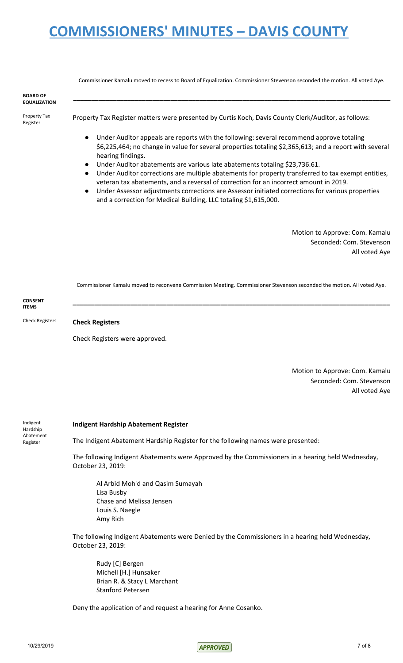Commissioner Kamalu moved to recess to Board of Equalization. Commissioner Stevenson seconded the motion. All voted Aye. **BOARD OF EQUALIZATION \_\_\_\_\_\_\_\_\_\_\_\_\_\_\_\_\_\_\_\_\_\_\_\_\_\_\_\_\_\_\_\_\_\_\_\_\_\_\_\_\_\_\_\_\_\_\_\_\_\_\_\_\_\_\_\_\_\_\_\_\_\_\_\_\_\_\_\_\_\_\_\_\_\_\_\_\_\_\_\_\_\_\_\_\_\_\_\_** Property Tax Register Property Tax Register matters were presented by Curtis Koch, Davis County Clerk/Auditor, as follows: Under Auditor appeals are reports with the following: several recommend approve totaling \$6,225,464; no change in value for several properties totaling \$2,365,613; and a report with several hearing findings. Under Auditor abatements are various late abatements totaling \$23,736.61. Under Auditor corrections are multiple abatements for property transferred to tax exempt entities, veteran tax abatements, and a reversal of correction for an incorrect amount in 2019. Under Assessor adjustments corrections are Assessor initiated corrections for various properties and a correction for Medical Building, LLC totaling \$1,615,000.

> Motion to Approve: Com. Kamalu Seconded: Com. Stevenson All voted Aye

Commissioner Kamalu moved to reconvene Commission Meeting. Commissioner Stevenson seconded the motion. All voted Aye.

| <b>CONSENT</b> |  |
|----------------|--|
| <b>ITEMS</b>   |  |

Check Registers **Check Registers**

Check Registers were approved.

Motion to Approve: Com. Kamalu Seconded: Com. Stevenson All voted Aye

Indigent Hardship Abatement Register

### **Indigent Hardship Abatement Register**

The Indigent Abatement Hardship Register for the following names were presented:

The following Indigent Abatements were Approved by the Commissioners in a hearing held Wednesday, October 23, 2019:

Al Arbid Moh'd and Qasim Sumayah Lisa Busby Chase and Melissa Jensen Louis S. Naegle Amy Rich

The following Indigent Abatements were Denied by the Commissioners in a hearing held Wednesday, October 23, 2019:

Rudy [C] Bergen Michell [H.] Hunsaker Brian R. & Stacy L Marchant Stanford Petersen

Deny the application of and request a hearing for Anne Cosanko.